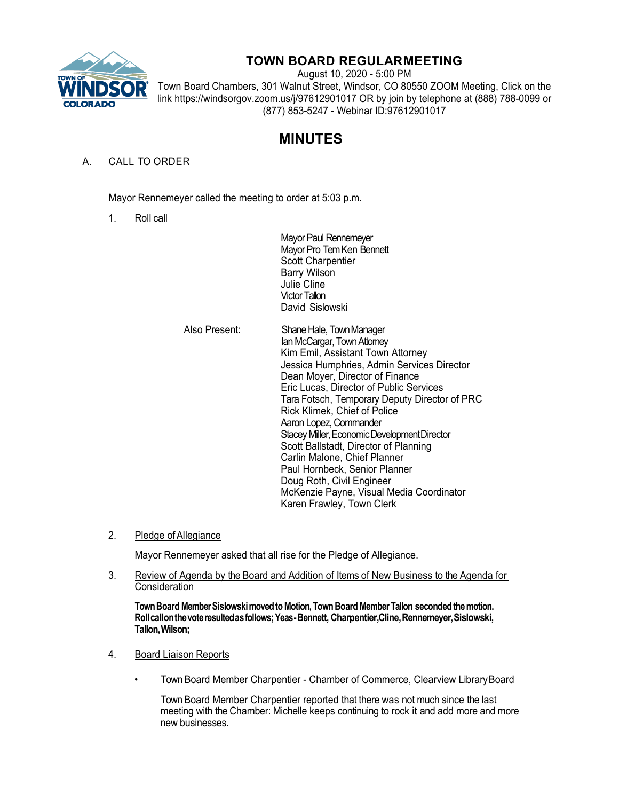

## **TOWN BOARD REGULARMEETING**

August 10, 2020 - 5:00 PM Town Board Chambers, 301 Walnut Street, Windsor, CO 80550 ZOOM Meeting, Click on the link https://windsorgov.zoom.us/j/97612901017 OR by join by telephone at (888) 788-0099 or (877) 853-5247 - Webinar ID:97612901017

# **MINUTES**

### A. CALL TO ORDER

Mayor Rennemeyer called the meeting to order at 5:03 p.m.

1. Roll call

Mayor Paul Rennemeyer Mayor Pro Tem Ken Bennett Scott Charpentier Barry Wilson Julie Cline Victor Tallon David Sislowski

| Also Present: | Shane Hale, Town Manager<br>Ian McCargar, Town Attomey<br>Kim Emil, Assistant Town Attorney<br>Jessica Humphries, Admin Services Director<br>Dean Moyer, Director of Finance<br>Eric Lucas, Director of Public Services<br>Tara Fotsch, Temporary Deputy Director of PRC<br>Rick Klimek, Chief of Police<br>Aaron Lopez, Commander<br>Stacey Miller, Economic Development Director<br>Scott Ballstadt, Director of Planning<br>Carlin Malone, Chief Planner |
|---------------|-------------------------------------------------------------------------------------------------------------------------------------------------------------------------------------------------------------------------------------------------------------------------------------------------------------------------------------------------------------------------------------------------------------------------------------------------------------|
|               | Paul Hornbeck, Senior Planner                                                                                                                                                                                                                                                                                                                                                                                                                               |
|               | Doug Roth, Civil Engineer                                                                                                                                                                                                                                                                                                                                                                                                                                   |
|               | McKenzie Payne, Visual Media Coordinator<br>Karen Frawley, Town Clerk                                                                                                                                                                                                                                                                                                                                                                                       |

2. Pledge of Allegiance

Mayor Rennemeyer asked that all rise for the Pledge of Allegiance.

3. Review of Agenda by the Board and Addition of Items of New Business to the Agenda for **Consideration** 

**Town Board Member Sislowski moved to Motion, Town Board Member Tallon seconded the motion. Rollcallonthevoteresultedasfollows;Yeas-Bennett, Charpentier,Cline,Rennemeyer,Sislowski, Tallon,Wilson;**

- 4. Board Liaison Reports
	- Town Board Member Charpentier Chamber of Commerce, Clearview LibraryBoard

Town Board Member Charpentier reported that there was not much since the last meeting with the Chamber: Michelle keeps continuing to rock it and add more and more new businesses.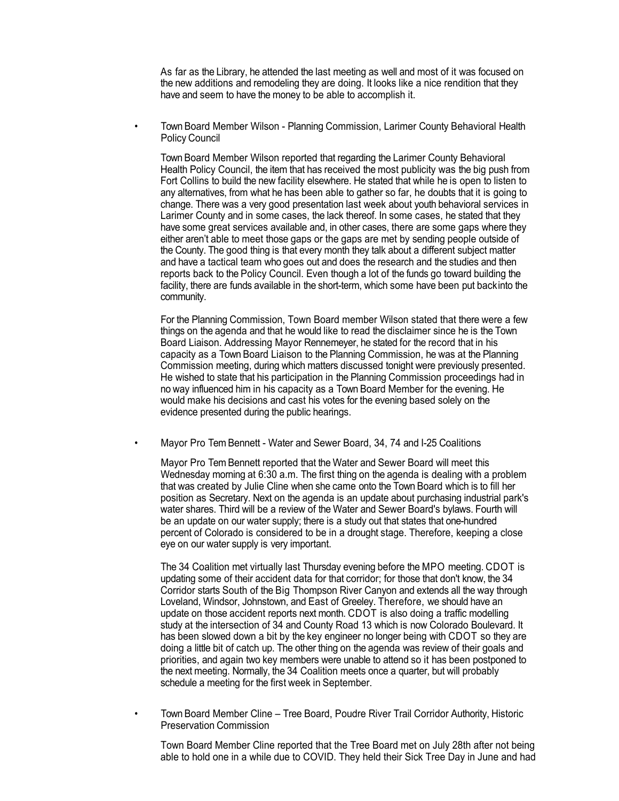As far as the Library, he attended the last meeting as well and most of it was focused on the new additions and remodeling they are doing. It looks like a nice rendition that they have and seem to have the money to be able to accomplish it.

• Town Board Member Wilson - Planning Commission, Larimer County Behavioral Health Policy Council

Town Board Member Wilson reported that regarding the Larimer County Behavioral Health Policy Council, the item that has received the most publicity was the big push from Fort Collins to build the new facility elsewhere. He stated that while he is open to listen to any alternatives, from what he has been able to gather so far, he doubts that it is going to change. There was a very good presentation last week about youth behavioral services in Larimer County and in some cases, the lack thereof. In some cases, he stated that they have some great services available and, in other cases, there are some gaps where they either aren't able to meet those gaps or the gaps are met by sending people outside of the County. The good thing is that every month they talk about a different subject matter and have a tactical team who goes out and does the research and the studies and then reports back to the Policy Council. Even though a lot of the funds go toward building the facility, there are funds available in the short-term, which some have been put backinto the community.

For the Planning Commission, Town Board member Wilson stated that there were a few things on the agenda and that he would like to read the disclaimer since he is the Town Board Liaison. Addressing Mayor Rennemeyer, he stated for the record that in his capacity as a Town Board Liaison to the Planning Commission, he was at the Planning Commission meeting, during which matters discussed tonight were previously presented. He wished to state that his participation in the Planning Commission proceedings had in no way influenced him in his capacity as a Town Board Member for the evening. He would make his decisions and cast his votes for the evening based solely on the evidence presented during the public hearings.

• Mayor Pro Tem Bennett - Water and Sewer Board, 34, 74 and I-25 Coalitions

Mayor Pro Tem Bennett reported that the Water and Sewer Board will meet this Wednesday morning at 6:30 a.m. The first thing on the agenda is dealing with a problem that was created by Julie Cline when she came onto the Town Board which is to fill her position as Secretary. Next on the agenda is an update about purchasing industrial park's water shares. Third will be a review of the Water and Sewer Board's bylaws. Fourth will be an update on our water supply; there is a study out that states that one-hundred percent of Colorado is considered to be in a drought stage. Therefore, keeping a close eye on our water supply is very important.

The 34 Coalition met virtually last Thursday evening before the MPO meeting. CDOT is updating some of their accident data for that corridor; for those that don't know, the 34 Corridor starts South of the Big Thompson River Canyon and extends all the way through Loveland, Windsor, Johnstown, and East of Greeley. Therefore, we should have an update on those accident reports next month. CDOT is also doing a traffic modelling study at the intersection of 34 and County Road 13 which is now Colorado Boulevard. It has been slowed down a bit by the key engineer no longer being with CDOT so they are doing a little bit of catch up. The other thing on the agenda was review of their goals and priorities, and again two key members were unable to attend so it has been postponed to the next meeting. Normally, the 34 Coalition meets once a quarter, but will probably schedule a meeting for the first week in September.

• Town Board Member Cline – Tree Board, Poudre River Trail Corridor Authority, Historic Preservation Commission

Town Board Member Cline reported that the Tree Board met on July 28th after not being able to hold one in a while due to COVID. They held their Sick Tree Day in June and had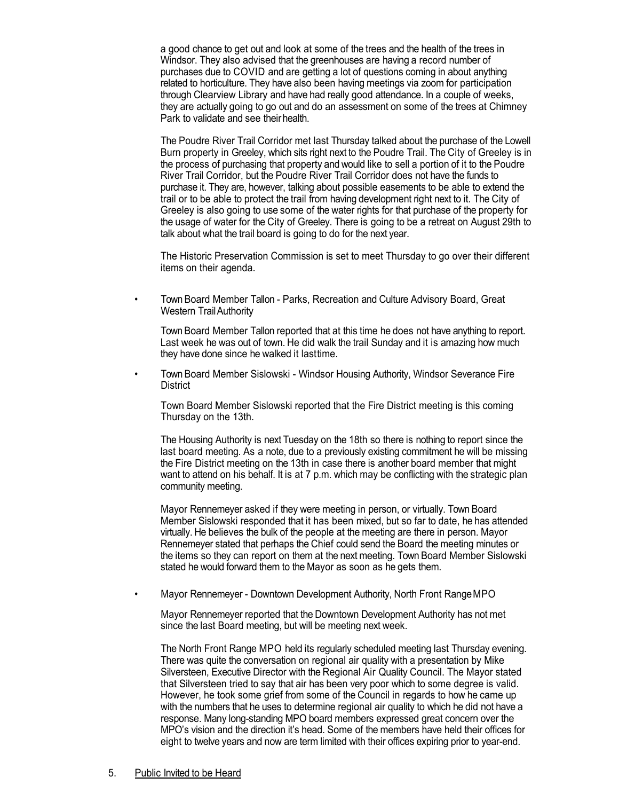a good chance to get out and look at some of the trees and the health of the trees in Windsor. They also advised that the greenhouses are having a record number of purchases due to COVID and are getting a lot of questions coming in about anything related to horticulture. They have also been having meetings via zoom for participation through Clearview Library and have had really good attendance. In a couple of weeks, they are actually going to go out and do an assessment on some of the trees at Chimney Park to validate and see their health.

The Poudre River Trail Corridor met last Thursday talked about the purchase of the Lowell Burn property in Greeley, which sits right next to the Poudre Trail. The City of Greeley is in the process of purchasing that property andwould like to sell a portion of it to the Poudre River Trail Corridor, but the Poudre River Trail Corridor does not have the funds to purchase it. They are, however, talking about possible easements to be able to extend the trail or to be able to protect the trail from having development right next to it. The City of Greeley is also going to use some of the water rights for that purchase of the property for the usage of water for the City of Greeley. There is going to be a retreat on August 29th to talk about what the trail board is going to do for the next year.

The Historic Preservation Commission is set to meet Thursday to go over their different items on their agenda.

• Town Board Member Tallon - Parks, Recreation and Culture Advisory Board, Great Western TrailAuthority

Town Board Member Tallon reported that at this time he does not have anything to report. Last week he was out of town. He did walk the trail Sunday and it is amazing how much they have done since he walked it lasttime.

• Town Board Member Sislowski - Windsor Housing Authority, Windsor Severance Fire **District** 

Town Board Member Sislowski reported that the Fire District meeting is this coming Thursday on the 13th.

The Housing Authority is next Tuesday on the 18th so there is nothing to report since the last board meeting. As a note, due to a previously existing commitment he will be missing the Fire District meeting on the 13th in case there is another board member that might want to attend on his behalf. It is at 7 p.m. which may be conflicting with the strategic plan community meeting.

Mayor Rennemeyer asked if they were meeting in person, or virtually. Town Board Member Sislowski responded that it has been mixed, but so far to date, he has attended virtually. He believes the bulk of the people at the meeting are there in person. Mayor Rennemeyer stated that perhaps the Chief could send the Board the meeting minutes or the items so they can report on them at the next meeting. Town Board Member Sislowski stated he would forward them to the Mayor as soon as he gets them.

• Mayor Rennemeyer - Downtown Development Authority, North Front RangeMPO

Mayor Rennemeyer reported that the Downtown Development Authority has not met since the last Board meeting, but will be meeting next week.

The North Front Range MPO held its regularly scheduled meeting last Thursday evening. There was quite the conversation on regional air quality with a presentation by Mike Silversteen, Executive Director with the Regional Air Quality Council. The Mayor stated that Silversteen tried to say that air has been very poor which to some degree is valid. However, he took some grief from some of the Council in regards to how he came up with the numbers that he uses to determine regional air quality to which he did not have a response. Many long-standing MPO board members expressed great concern over the MPO's vision and the direction it's head. Some of the members have held their offices for eight to twelve years and now are term limited with their offices expiring prior to year-end.

#### 5. Public Invited to be Heard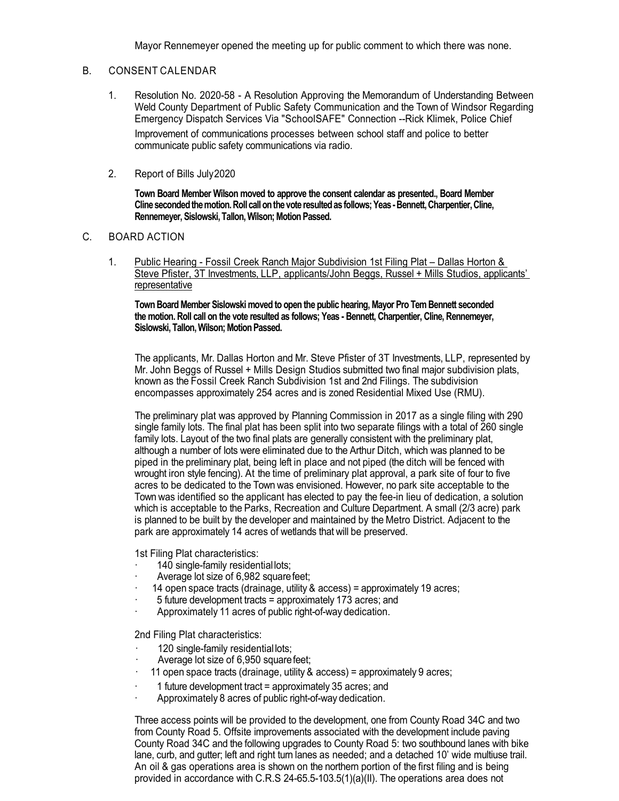Mayor Rennemeyer opened the meeting up for public comment to which there was none.

#### B. CONSENT CALENDAR

- 1. Resolution No. 2020-58 A Resolution Approving the Memorandum of Understanding Between Weld County Department of Public Safety Communication and the Town of Windsor Regarding Emergency Dispatch Services Via "SchoolSAFE" Connection --Rick Klimek, Police Chief Improvement of communications processes between school staff and police to better communicate public safety communications via radio.
- 2. Report of Bills July2020

**Town Board Member Wilson moved to approve the consent calendar as presented., Board Member Cline seconded the motion. Roll call on the vote resulted as follows; Yeas -Bennett, Charpentier,Cline, Rennemeyer, Sislowski, Tallon, Wilson; Motion Passed.**

#### C. BOARD ACTION

1. Public Hearing - Fossil Creek Ranch Major Subdivision 1st Filing Plat – Dallas Horton & Steve Pfister, 3T Investments, LLP, applicants/John Beggs, Russel + Mills Studios, applicants' representative

**Town Board Member Sislowski moved to open the public hearing, Mayor Pro Tem Bennett seconded the motion. Roll call on the vote resulted as follows; Yeas - Bennett, Charpentier, Cline, Rennemeyer, Sislowski, Tallon, Wilson; Motion Passed.**

The applicants, Mr. Dallas Horton and Mr. Steve Pfister of 3T Investments, LLP, represented by Mr. John Beggs of Russel + Mills Design Studios submitted two final major subdivision plats, known as the Fossil Creek Ranch Subdivision 1st and 2nd Filings. The subdivision encompasses approximately 254 acres and is zoned Residential Mixed Use (RMU).

The preliminary plat was approved by Planning Commission in 2017 as a single filing with 290 single family lots. The final plat has been split into two separate filings with a total of 260 single family lots. Layout of the two final plats are generally consistent with the preliminary plat, although a number of lots were eliminated due to the Arthur Ditch, which was planned to be piped in the preliminary plat, being left in place and not piped (the ditch will be fenced with wrought iron style fencing). At the time of preliminary plat approval, a park site of four to five acres to be dedicated to the Town was envisioned. However, no park site acceptable to the Town was identified so the applicant has elected to pay the fee-in lieu of dedication, a solution which is acceptable to the Parks, Recreation and Culture Department. A small (2/3 acre) park is planned to be built by the developer and maintained by the Metro District. Adjacent to the park are approximately 14 acres of wetlands that will be preserved.

1st Filing Plat characteristics:

- · 140 single-family residential lots;
- Average lot size of 6,982 square feet;
- · 14 open space tracts (drainage, utility & access) = approximately 19 acres;
- · 5 future development tracts = approximately 173 acres; and
- Approximately 11 acres of public right-of-way dedication.

2nd Filing Plat characteristics:

- · 120 single-family residential lots;
- Average lot size of 6,950 square feet;
- · 11 open space tracts (drainage, utility & access) = approximately 9 acres;
- · 1 future development tract = approximately 35 acres; and
- · Approximately 8 acres of public right-of-way dedication.

Three access points will be provided to the development, one from County Road 34C and two from County Road 5. Offsite improvements associated with the development include paving County Road 34C and the following upgrades to County Road 5: two southbound lanes with bike lane, curb, and gutter; left and right turn lanes as needed; and a detached 10' wide multiuse trail. An oil & gas operations area is shown on the northern portion of the first filing and is being provided in accordance with C.R.S 24-65.5-103.5(1)(a)(II). The operations area does not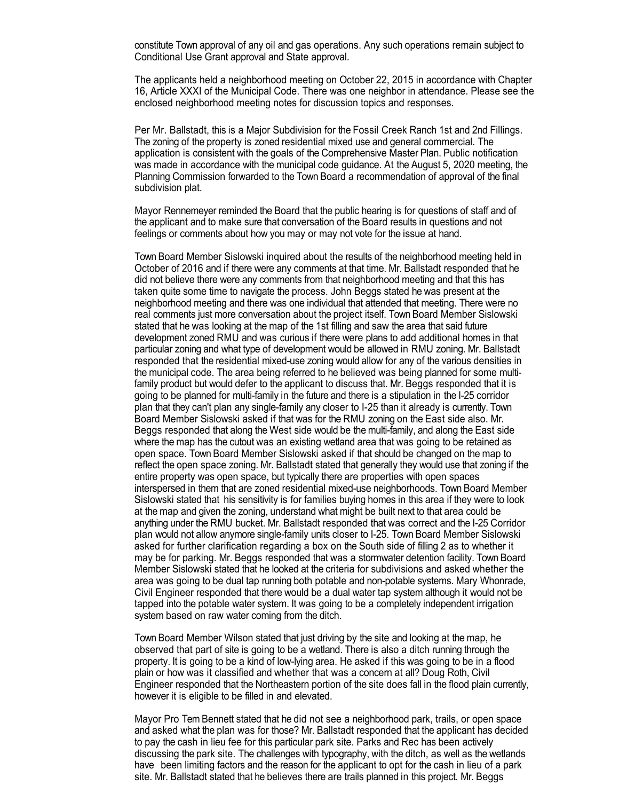constitute Town approval of any oil and gas operations. Any such operations remain subject to Conditional Use Grant approval and State approval.

The applicants held a neighborhood meeting on October 22, 2015 in accordance with Chapter 16, Article XXXI of the Municipal Code. There was one neighbor in attendance. Please see the enclosed neighborhood meeting notes for discussion topics and responses.

Per Mr. Ballstadt, this is a Major Subdivision for the Fossil Creek Ranch 1st and 2nd Fillings. The zoning of the property is zoned residential mixed use and general commercial. The application is consistent with the goals of the Comprehensive Master Plan. Public notification was made in accordance with the municipal code guidance. At the August 5, 2020 meeting, the Planning Commission forwarded to the Town Board a recommendation of approval of the final subdivision plat.

Mayor Rennemeyer reminded the Board that the public hearing is for questions of staff and of the applicant and to make sure that conversation of the Board results in questions and not feelings or comments about how you may or may not vote for the issue at hand.

Town Board Member Sislowski inquired about the results of the neighborhood meeting held in October of 2016 and if there were any comments at that time. Mr. Ballstadt responded that he did not believe there were any comments from that neighborhood meeting and that this has taken quite some time to navigate the process. John Beggs stated he was present at the neighborhood meeting and there was one individual that attended that meeting. There were no real comments just more conversation about the project itself. Town Board Member Sislowski stated that he was looking at the map of the 1st filling and saw the area that said future development zoned RMU and was curious if there were plans to add additional homes in that particular zoning and what type of development would be allowed in RMU zoning. Mr. Ballstadt responded that the residential mixed-use zoning would allow for any of the various densities in the municipal code. The area being referred to he believed was being planned for some multifamily product but would defer to the applicant to discuss that. Mr. Beggs responded that it is going to be planned for multi-family in the future and there is a stipulation in the I-25 corridor plan that they can't plan any single-family any closer to I-25 than it already is currently. Town Board Member Sislowski asked if that was for the RMU zoning on the East side also. Mr. Beggs responded that along the West side would be the multi-family, and along the East side where the map has the cutout was an existing wetland area that was going to be retained as open space. Town Board Member Sislowski asked if that should be changed on the map to reflect the open space zoning. Mr. Ballstadt stated that generally they would use that zoning if the entire property was open space, but typically there are properties with open spaces interspersed in them that are zoned residential mixed-use neighborhoods. Town Board Member Sislowski stated that his sensitivity is for families buying homes in this area if they were to look at the map and given the zoning, understand what might be built next to that area could be anything under the RMU bucket. Mr. Ballstadt responded that was correct and the I-25 Corridor plan would not allow anymore single-family units closer to I-25. Town Board Member Sislowski asked for further clarification regarding a box on the South side of filling 2 as to whether it may be for parking. Mr. Beggs responded that was a stormwater detention facility. Town Board Member Sislowski stated that he looked at the criteria for subdivisions and asked whether the area was going to be dual tap running both potable and non-potable systems. Mary Whonrade, Civil Engineer responded that there would be a dual water tap system although it would not be tapped into the potable water system. It was going to be a completely independent irrigation system based on raw water coming from the ditch.

Town Board Member Wilson stated that just driving by the site and looking at the map, he observed that part of site is going to be a wetland. There is also a ditch running through the property. It is going to be a kind of low-lying area. He asked if this was going to be in a flood plain or how was it classified and whether that was a concern at all? Doug Roth, Civil Engineer responded that the Northeastern portion of the site does fall in the flood plain currently, however it is eligible to be filled in and elevated.

Mayor Pro Tem Bennett stated that he did not see a neighborhood park, trails, or open space and asked what the plan was for those? Mr. Ballstadt responded that the applicant has decided to pay the cash in lieu fee for this particular park site. Parks and Rec has been actively discussing the park site. The challenges with typography, with the ditch, as well as the wetlands have been limiting factors and the reason for the applicant to opt for the cash in lieu of a park site. Mr. Ballstadt stated that he believes there are trails planned in this project. Mr. Beggs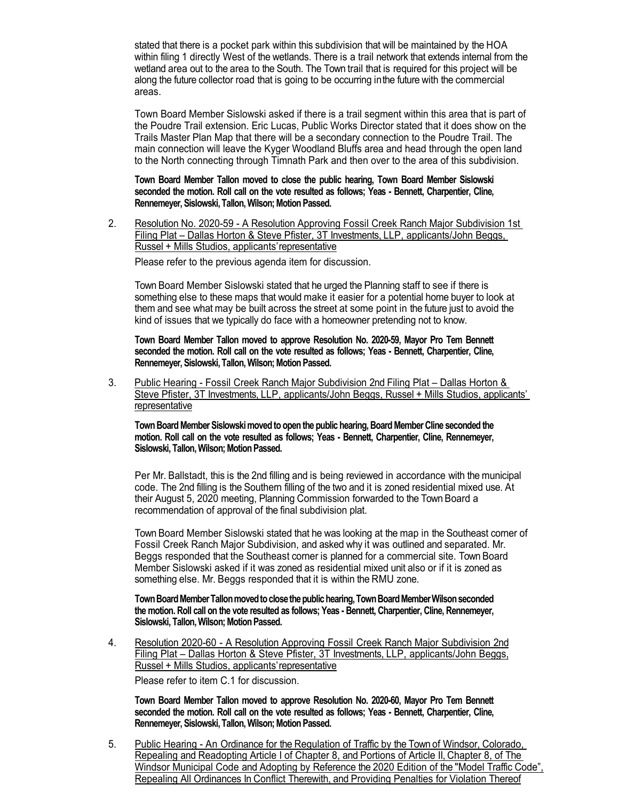stated that there is a pocket park within this subdivision that will be maintained by the HOA within filing 1 directly West of the wetlands. There is a trail network that extends internal from the wetland area out to the area to the South. The Town trail that is required for this project will be along the future collector road that is going to be occurring inthe future with the commercial areas.

Town Board Member Sislowski asked if there is a trail segment within this area that is part of the Poudre Trail extension. Eric Lucas, Public Works Director stated that it does show on the Trails Master Plan Map that there will be a secondary connection to the Poudre Trail. The main connection will leave the Kyger Woodland Bluffs area and head through the open land to the North connecting through Timnath Park and then over to the area of this subdivision.

**Town Board Member Tallon moved to close the public hearing, Town Board Member Sislowski seconded the motion. Roll call on the vote resulted as follows; Yeas - Bennett, Charpentier, Cline, Rennemeyer, Sislowski, Tallon, Wilson; Motion Passed.**

2. Resolution No. 2020-59 - A Resolution Approving Fossil Creek Ranch Major Subdivision 1st Filing Plat – Dallas Horton & Steve Pfister, 3T Investments, LLP, applicants/John Beggs, Russel + Mills Studios, applicants'representative

Please refer to the previous agenda item for discussion.

Town Board Member Sislowski stated that he urged the Planning staff to see if there is something else to these maps that would make it easier for a potential home buyer to look at them and see what may be built across the street at some point in the future just to avoid the kind of issues that we typically do face with a homeowner pretending not to know.

**Town Board Member Tallon moved to approve Resolution No. 2020-59, Mayor Pro Tem Bennett seconded the motion. Roll call on the vote resulted as follows; Yeas - Bennett, Charpentier, Cline, Rennemeyer, Sislowski, Tallon, Wilson; Motion Passed.**

3. Public Hearing - Fossil Creek Ranch Major Subdivision 2nd Filing Plat – Dallas Horton & Steve Pfister, 3T Investments, LLP, applicants/John Beggs, Russel + Mills Studios, applicants' **representative** 

**Town Board Member Sislowski moved to open the public hearing, Board Member Cline seconded the motion. Roll call on the vote resulted as follows; Yeas - Bennett, Charpentier, Cline, Rennemeyer, Sislowski, Tallon, Wilson; Motion Passed.**

Per Mr. Ballstadt, this is the 2nd filling and is being reviewed in accordance with the municipal code. The 2nd filling is the Southern filling of the two and it is zoned residential mixed use. At their August 5, 2020 meeting, Planning Commission forwarded to the Town Board a recommendation of approval of the final subdivision plat.

Town Board Member Sislowski stated that he was looking at the map in the Southeast corner of Fossil Creek Ranch Major Subdivision, and asked why it was outlined and separated. Mr. Beggs responded that the Southeast corner is planned for a commercial site. Town Board Member Sislowski asked if it was zoned as residential mixed unit also or if it is zoned as something else. Mr. Beggs responded that it is within the RMU zone.

**Town Board Member Tallon moved to close the public hearing, Town Board Member Wilson seconded the motion. Roll call on the vote resulted as follows; Yeas - Bennett, Charpentier, Cline, Rennemeyer, Sislowski, Tallon, Wilson; Motion Passed.**

4. Resolution 2020-60 - A Resolution Approving Fossil Creek Ranch Major Subdivision 2nd Filing Plat – Dallas Horton & Steve Pfister, 3T Investments, LLP, applicants/John Beggs, Russel + Mills Studios, applicants'representative

Please refer to item C.1 for discussion.

**Town Board Member Tallon moved to approve Resolution No. 2020-60, Mayor Pro Tem Bennett seconded the motion. Roll call on the vote resulted as follows; Yeas - Bennett, Charpentier, Cline, Rennemeyer, Sislowski, Tallon, Wilson; Motion Passed.**

5. Public Hearing - An Ordinance for the Regulation of Traffic by the Town of Windsor, Colorado, Repealing and Readopting Article I of Chapter 8, and Portions of Article II, Chapter 8, of The Windsor Municipal Code and Adopting by Reference the 2020 Edition of the "Model Traffic Code", Repealing All Ordinances In Conflict Therewith, and Providing Penalties for Violation Thereof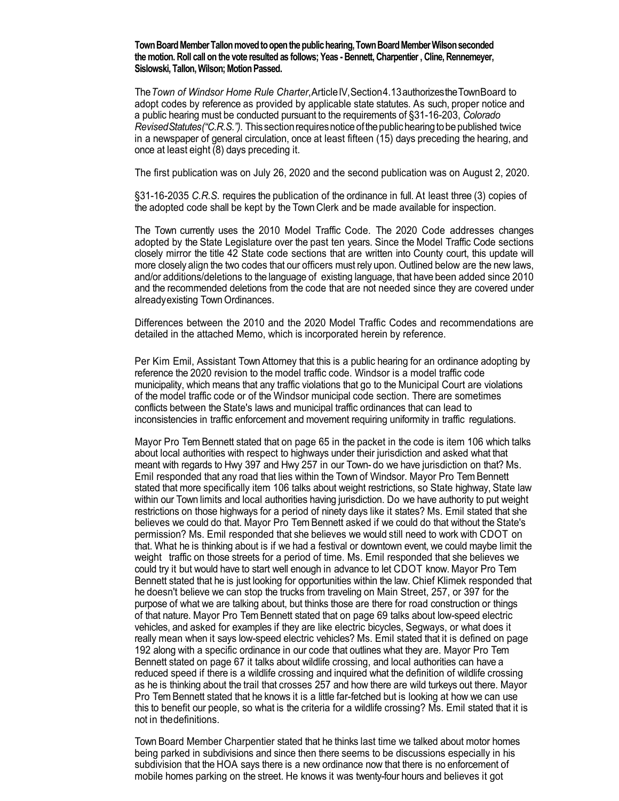**Town Board Member Tallon moved to open the public hearing, Town Board Member Wilson seconded the motion. Roll call on the vote resulted as follows; Yeas - Bennett, Charpentier , Cline, Rennemeyer, Sislowski, Tallon, Wilson; Motion Passed.**

The*Town of Windsor Home Rule Charter*,ArticleIV,Section4.13authorizestheTownBoard to adopt codes by reference as provided by applicable state statutes. As such, proper notice and a public hearing must be conducted pursuant to the requirements of §31-16-203, *Colorado Revised Statutes("C.R.S.").* This section requires notice of the public hearing to be published twice in a newspaper of general circulation, once at least fifteen (15) days preceding the hearing, and once at least eight (8) days preceding it.

The first publication was on July 26, 2020 and the second publication was on August 2, 2020.

§31-16-2035 *C.R.S.* requires the publication of the ordinance in full. At least three (3) copies of the adopted code shall be kept by the Town Clerk and be made available for inspection.

The Town currently uses the 2010 Model Traffic Code. The 2020 Code addresses changes adopted by the State Legislature over the past ten years. Since the Model Traffic Code sections closely mirror the title 42 State code sections that are written into County court, this update will more closely align the two codes that our officers must rely upon. Outlined below are the new laws, and/or additions/deletions to the language of existing language, that have been added since 2010 and the recommended deletions from the code that are not needed since they are covered under alreadyexisting Town Ordinances.

Differences between the 2010 and the 2020 Model Traffic Codes and recommendations are detailed in the attached Memo, which is incorporated herein by reference.

Per Kim Emil, Assistant Town Attorney that this is a public hearing for an ordinance adopting by reference the 2020 revision to the model traffic code. Windsor is a model traffic code municipality, which means that any traffic violations that go to the Municipal Court are violations of the model traffic code or of the Windsor municipal code section. There are sometimes conflicts between the State's laws and municipal traffic ordinances that can lead to inconsistencies in traffic enforcement and movement requiring uniformity in traffic regulations.

Mayor Pro Tem Bennett stated that on page 65 in the packet in the code is item 106 which talks about local authorities with respect to highways under their jurisdiction and asked what that meant with regards to Hwy 397 and Hwy 257 in our Town- do we have jurisdiction on that? Ms. Emil responded that any road that lies within the Town of Windsor. Mayor Pro Tem Bennett stated that more specifically item 106 talks about weight restrictions, so State highway, State law within our Town limits and local authorities having jurisdiction. Do we have authority to put weight restrictions on those highways for a period of ninety days like it states? Ms. Emil stated that she believes we could do that. Mayor Pro Tem Bennett asked if we could do that without the State's permission? Ms. Emil responded that she believes we would still need to work with CDOT on that. What he is thinking about is if we had a festival or downtown event, we could maybe limit the weight traffic on those streets for a period of time. Ms. Emil responded that she believes we could try it but would have to start well enough in advance to let CDOT know. Mayor Pro Tem Bennett stated that he is just looking for opportunities within the law. Chief Klimek responded that he doesn't believe we can stop the trucks from traveling on Main Street, 257, or 397 for the purpose of what we are talking about, but thinks those are there for road construction or things of that nature. Mayor Pro Tem Bennett stated that on page 69 talks about low-speed electric vehicles, and asked for examples if they are like electric bicycles, Segways, or what does it really mean when it says low-speed electric vehicles? Ms. Emil stated that it is defined on page 192 along with a specific ordinance in our code that outlines what they are. Mayor Pro Tem Bennett stated on page 67 it talks about wildlife crossing, and local authorities can have a reduced speed if there is a wildlife crossing and inquired what the definition of wildlife crossing as he is thinking about the trail that crosses 257 and how there are wild turkeys out there. Mayor Pro Tem Bennett stated that he knows it is a little far-fetched but is looking at how we can use this to benefit our people, so what is the criteria for a wildlife crossing? Ms. Emil stated that it is not in thedefinitions.

Town Board Member Charpentier stated that he thinks last time we talked about motor homes being parked in subdivisions and since then there seems to be discussions especially in his subdivision that the HOA says there is a new ordinance now that there is no enforcement of mobile homes parking on the street. He knows it was twenty-four hours and believes it got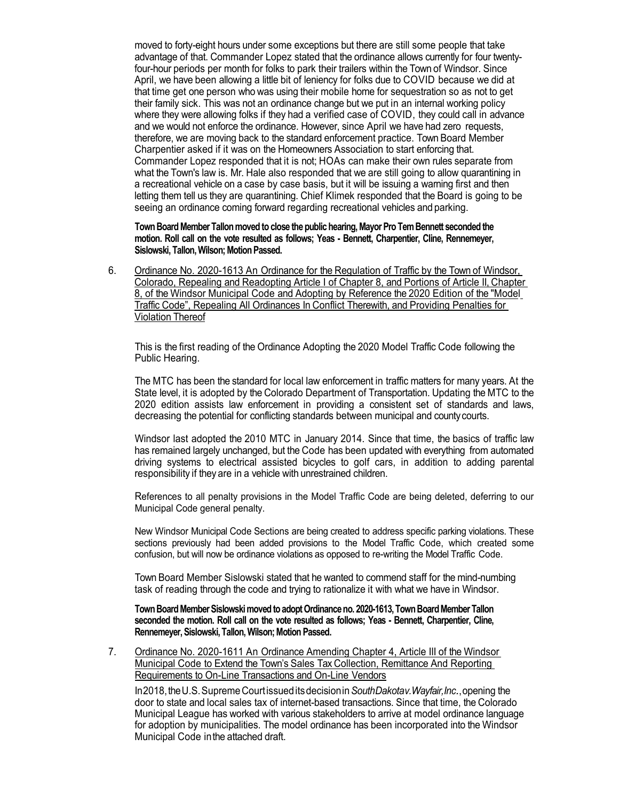moved to forty-eight hours under some exceptions but there are still some people that take advantage of that. Commander Lopez stated that the ordinance allows currently for four twentyfour-hour periods per month for folks to park their trailers within the Town of Windsor. Since April, we have been allowing a little bit of leniency for folks due to COVID because we did at that time get one person who was using their mobile home for sequestration so as not to get their family sick. This was not an ordinance change but we put in an internal working policy where they were allowing folks if they had a verified case of COVID, they could call in advance and we would not enforce the ordinance. However, since April we have had zero requests, therefore, we are moving back to the standard enforcement practice. Town Board Member Charpentier asked if it was on the Homeowners Association to start enforcing that. Commander Lopez responded that it is not; HOAs can make their own rules separate from what the Town's law is. Mr. Hale also responded that we are still going to allow quarantining in a recreational vehicle on a case by case basis, but it will be issuing a warning first and then letting them tell us they are quarantining. Chief Klimek responded that the Board is going to be seeing an ordinance coming forward regarding recreational vehicles and parking.

**Town Board Member Tallon moved to close the public hearing, Mayor Pro Tem Bennett seconded the motion. Roll call on the vote resulted as follows; Yeas - Bennett, Charpentier, Cline, Rennemeyer, Sislowski, Tallon, Wilson; Motion Passed.**

6. Ordinance No. 2020-1613 An Ordinance for the Regulation of Traffic by the Town of Windsor, Colorado, Repealing and Readopting Article I of Chapter 8, and Portions of Article II, Chapter 8, of the Windsor Municipal Code and Adopting by Reference the 2020 Edition of the "Model Traffic Code", Repealing All Ordinances In Conflict Therewith, and Providing Penalties for Violation Thereof

This is the first reading of the Ordinance Adopting the 2020 Model Traffic Code following the Public Hearing.

The MTC has been the standard for local law enforcement in traffic matters for many years. At the State level, it is adopted by the Colorado Department of Transportation. Updating the MTC to the 2020 edition assists law enforcement in providing a consistent set of standards and laws, decreasing the potential for conflicting standards between municipal and countycourts.

Windsor last adopted the 2010 MTC in January 2014. Since that time, the basics of traffic law has remained largely unchanged, but the Code has been updated with everything from automated driving systems to electrical assisted bicycles to golf cars, in addition to adding parental responsibility if they are in a vehicle with unrestrained children.

References to all penalty provisions in the Model Traffic Code are being deleted, deferring to our Municipal Code general penalty.

New Windsor Municipal Code Sections are being created to address specific parking violations. These sections previously had been added provisions to the Model Traffic Code, which created some confusion, but will now be ordinance violations as opposed to re-writing the Model Traffic Code.

Town Board Member Sislowski stated that he wanted to commend staff for the mind-numbing task of reading through the code and trying to rationalize it with what we have in Windsor.

**Town Board Member Sislowski moved to adopt Ordinance no. 2020-1613, Town Board Member Tallon seconded the motion. Roll call on the vote resulted as follows; Yeas - Bennett, Charpentier, Cline, Rennemeyer, Sislowski, Tallon, Wilson; Motion Passed.**

7. Ordinance No. 2020-1611 An Ordinance Amending Chapter 4, Article III of the Windsor Municipal Code to Extend the Town's Sales Tax Collection, Remittance And Reporting Requirements to On-Line Transactions and On-Line Vendors

In2018,theU.S.SupremeCourtissueditsdecisionin*SouthDakotav.Wayfair,Inc.*,opening the door to state and local sales tax of internet-based transactions. Since that time, the Colorado Municipal League has worked with various stakeholders to arrive at model ordinance language for adoption by municipalities. The model ordinance has been incorporated into the Windsor Municipal Code inthe attached draft.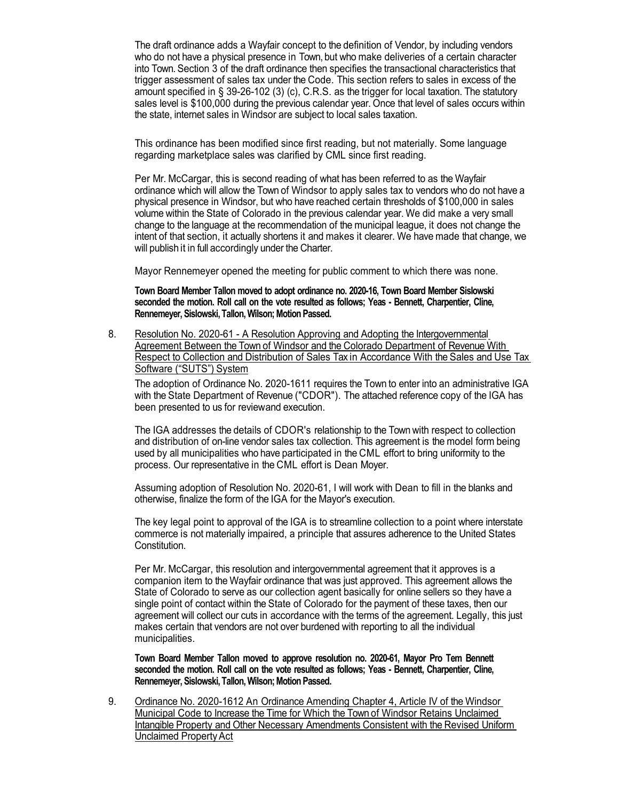The draft ordinance adds a Wayfair concept to the definition of Vendor, by including vendors who do not have a physical presence in Town, but who make deliveries of a certain character into Town. Section 3 of the draft ordinance then specifies the transactional characteristics that trigger assessment of sales tax under the Code. This section refers to sales in excess of the amount specified in § 39-26-102 (3) (c), C.R.S. as the trigger for local taxation. The statutory sales level is \$100,000 during the previous calendar year. Once that level of sales occurs within the state, internet sales in Windsor are subject to local sales taxation.

This ordinance has been modified since first reading, but not materially. Some language regarding marketplace sales was clarified by CML since first reading.

Per Mr. McCargar, this is second reading of what has been referred to as the Wayfair ordinance which will allow the Town of Windsor to apply sales tax to vendors who do not have a physical presence in Windsor, but who have reached certain thresholds of \$100,000 in sales volume within the State of Colorado in the previous calendar year. We did make a very small change to the language at the recommendation of the municipal league, it does not change the intent of that section, it actually shortens it and makes it clearer. We have made that change, we will publish it in full accordingly under the Charter.

Mayor Rennemeyer opened the meeting for public comment to which there was none.

**Town Board Member Tallon moved to adopt ordinance no. 2020-16, Town Board Member Sislowski seconded the motion. Roll call on the vote resulted as follows; Yeas - Bennett, Charpentier, Cline, Rennemeyer, Sislowski, Tallon, Wilson; Motion Passed.**

8. Resolution No. 2020-61 - A Resolution Approving and Adopting the Intergovernmental Agreement Between the Town of Windsor and the Colorado Department of Revenue With Respect to Collection and Distribution of Sales Tax in Accordance With the Sales and Use Tax Software ("SUTS") System

The adoption of Ordinance No. 2020-1611 requires the Town to enter into an administrative IGA with the State Department of Revenue ("CDOR"). The attached reference copy of the IGA has been presented to us for reviewand execution.

The IGA addresses the details of CDOR's relationship to the Town with respect to collection and distribution of on-line vendor sales tax collection. This agreement is the model form being used by all municipalities who have participated in the CML effort to bring uniformity to the process. Our representative in the CML effort is Dean Moyer.

Assuming adoption of Resolution No. 2020-61, I will work with Dean to fill in the blanks and otherwise, finalize the form of the IGA for the Mayor's execution.

The key legal point to approval of the IGA is to streamline collection to a point where interstate commerce is not materially impaired, a principle that assures adherence to the United States Constitution.

Per Mr. McCargar, this resolution and intergovernmental agreement that it approves is a companion item to the Wayfair ordinance that was just approved. This agreement allows the State of Colorado to serve as our collection agent basically for online sellers so they have a single point of contact within the State of Colorado for the payment of these taxes, then our agreement will collect our cuts in accordance with the terms of the agreement. Legally, this just makes certain that vendors are not over burdened with reporting to all the individual municipalities.

**Town Board Member Tallon moved to approve resolution no. 2020-61, Mayor Pro Tem Bennett seconded the motion. Roll call on the vote resulted as follows; Yeas - Bennett, Charpentier, Cline, Rennemeyer, Sislowski, Tallon, Wilson; Motion Passed.**

9. Ordinance No. 2020-1612 An Ordinance Amending Chapter 4, Article IV of the Windsor Municipal Code to Increase the Time for Which the Town of Windsor Retains Unclaimed Intangible Property and Other Necessary Amendments Consistent with the Revised Uniform Unclaimed PropertyAct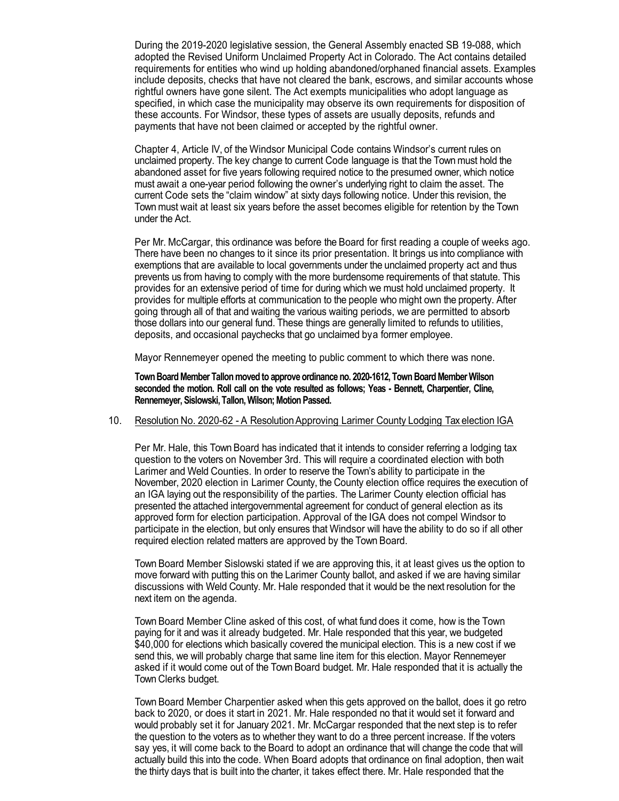During the 2019-2020 legislative session, the General Assembly enacted SB 19-088, which adopted the Revised Uniform Unclaimed Property Act in Colorado. The Act contains detailed requirements for entities who wind up holding abandoned/orphaned financial assets. Examples include deposits, checks that have not cleared the bank, escrows, and similar accounts whose rightful owners have gone silent. The Act exempts municipalities who adopt language as specified, in which case the municipality may observe its own requirements for disposition of these accounts. For Windsor, these types of assets are usually deposits, refunds and payments that have not been claimed or accepted by the rightful owner.

Chapter 4, Article IV, of the Windsor Municipal Code contains Windsor's current rules on unclaimed property. The key change to current Code language is that the Town must hold the abandoned asset for five years following required notice to the presumed owner, which notice must await a one-year period following the owner's underlying right to claim the asset. The current Code sets the "claim window" at sixty days following notice. Under this revision, the Town must wait at least six years before the asset becomes eligible for retention by the Town under the Act.

Per Mr. McCargar, this ordinance was before the Board for first reading a couple of weeks ago. There have been no changes to it since its prior presentation. It brings us into compliance with exemptions that are available to local governments under the unclaimed property act and thus prevents us from having to comply with the more burdensome requirements of that statute. This provides for an extensive period of time for during which we must hold unclaimed property. It provides for multiple efforts at communication to the people who might own the property. After going through all of that and waiting the various waiting periods, we are permitted to absorb those dollars into our general fund. These things are generally limited to refunds to utilities, deposits, and occasional paychecks that go unclaimed bya former employee.

Mayor Rennemeyer opened the meeting to public comment to which there was none.

**Town Board Member Tallon moved to approve ordinance no. 2020-1612, Town Board Member Wilson seconded the motion. Roll call on the vote resulted as follows; Yeas - Bennett, Charpentier, Cline, Rennemeyer, Sislowski, Tallon, Wilson; Motion Passed.**

#### 10. Resolution No. 2020-62 - A Resolution Approving Larimer County Lodging Tax election IGA

Per Mr. Hale, this Town Board has indicated that it intends to consider referring a lodging tax question to the voters on November 3rd. This will require a coordinated election with both Larimer and Weld Counties. In order to reserve the Town's ability to participate in the November, 2020 election in Larimer County, the County election office requires the execution of an IGA laying out the responsibility of the parties. The Larimer County election official has presented the attached intergovernmental agreement for conduct of general election as its approved form for election participation. Approval of the IGA does not compel Windsor to participate in the election, but only ensures that Windsor will have the ability to do so if all other required election related matters are approved by the Town Board.

Town Board Member Sislowski stated if we are approving this, it at least gives us the option to move forward with putting this on the Larimer County ballot, and asked if we are having similar discussions with Weld County. Mr. Hale responded that it would be the next resolution for the next item on the agenda.

Town Board Member Cline asked of this cost, of what fund does it come, how is the Town paying for it and was it already budgeted. Mr. Hale responded that this year, we budgeted \$40,000 for elections which basically covered the municipal election. This is a new cost if we send this, we will probably charge that same line item for this election. Mayor Rennemeyer asked if it would come out of the Town Board budget. Mr. Hale responded that it is actually the Town Clerks budget.

Town Board Member Charpentier asked when this gets approved on the ballot, does it go retro back to 2020, or does it start in 2021. Mr. Hale responded no that it would set it forward and would probably set it for January 2021. Mr. McCargar responded that the next step is to refer the question to the voters as to whether they want to do a three percent increase. If the voters say yes, it will come back to the Board to adopt an ordinance that will change the code that will actually build this into the code. When Board adopts that ordinance on final adoption, then wait the thirty days that is built into the charter, it takes effect there. Mr. Hale responded that the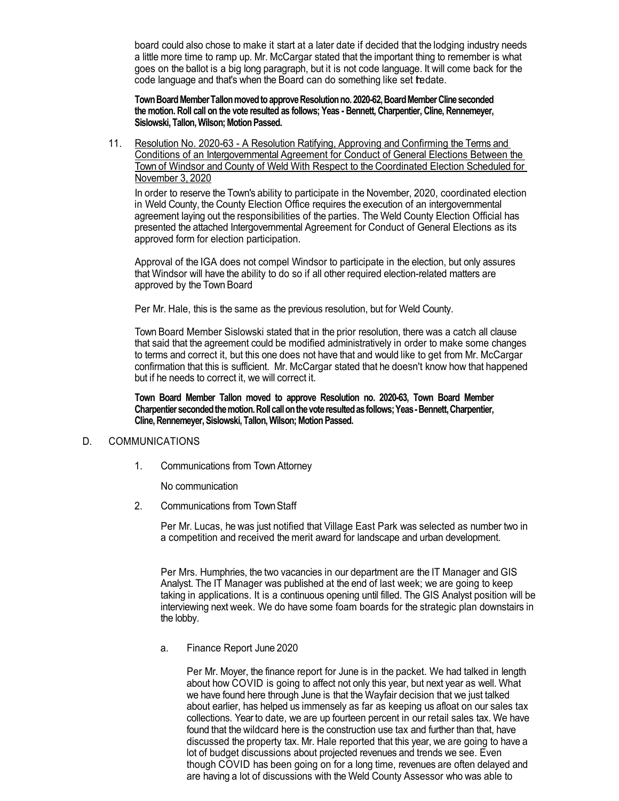board could also chose to make it start at a later date if decided that the lodging industry needs a little more time to ramp up. Mr. McCargar stated that the important thing to remember is what goes on the ballot is a big long paragraph, but it is not code language. It will come back for the code language and that's when the Board can do something like set tedate.

**Town Board Member Tallon moved to approve Resolution no. 2020-62, Board Member Cline seconded the motion. Roll call on the vote resulted as follows; Yeas - Bennett, Charpentier, Cline, Rennemeyer, Sislowski, Tallon, Wilson; Motion Passed.**

11. Resolution No. 2020-63 - A Resolution Ratifying, Approving and Confirming the Terms and Conditions of an Intergovernmental Agreement for Conduct of General Elections Between the Town of Windsor and County of Weld With Respect to the Coordinated Election Scheduled for November 3, 2020

In order to reserve the Town's ability to participate in the November, 2020, coordinated election in Weld County, the County Election Office requires the execution of an intergovernmental agreement laying out the responsibilities of the parties. The Weld County Election Official has presented the attached Intergovernmental Agreement for Conduct of General Elections as its approved form for election participation.

Approval of the IGA does not compel Windsor to participate in the election, but only assures that Windsor will have the ability to do so if all other required election-related matters are approved by the Town Board

Per Mr. Hale, this is the same as the previous resolution, but for Weld County.

Town Board Member Sislowski stated that in the prior resolution, there was a catch all clause that said that the agreement could be modified administratively in order to make some changes to terms and correct it, but this one does not have that and would like to get from Mr. McCargar confirmation that this is sufficient. Mr. McCargar stated that he doesn't know how that happened but if he needs to correct it, we will correct it.

**Town Board Member Tallon moved to approve Resolution no. 2020-63, Town Board Member Charpentier seconded the motion. Roll call on the vote resulted as follows; Yeas -Bennett, Charpentier, Cline, Rennemeyer, Sislowski, Tallon, Wilson; Motion Passed.**

#### D. COMMUNICATIONS

1. Communications from Town Attorney

No communication

2. Communications from TownStaff

Per Mr. Lucas, he was just notified that Village East Park was selected as number two in a competition and received the merit award for landscape and urban development.

Per Mrs. Humphries, the two vacancies in our department are the IT Manager and GIS Analyst. The IT Manager was published at the end of last week; we are going to keep taking in applications. It is a continuous opening until filled. The GIS Analyst position will be interviewing next week. We do have some foam boards for the strategic plan downstairs in the lobby.

a. Finance Report June 2020

Per Mr. Moyer, the finance report for June is in the packet. We had talked in length about how COVID is going to affect not only this year, but next year as well. What we have found here through June is that the Wayfair decision that we just talked about earlier, has helped us immensely as far as keeping us afloat on our sales tax collections. Year to date, we are up fourteen percent in our retail sales tax. We have found that the wildcard here is the construction use tax and further than that, have discussed the property tax. Mr. Hale reported that this year, we are going to have a lot of budget discussions about projected revenues and trends we see. Even though COVID has been going on for a long time, revenues are often delayed and are having a lot of discussions with the Weld County Assessor who was able to